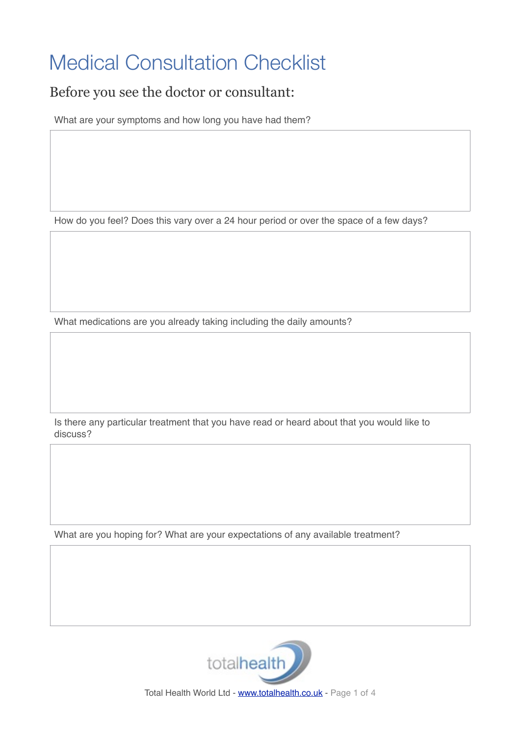## Medical Consultation Checklist

## Before you see the doctor or consultant:

What are your symptoms and how long you have had them?

How do you feel? Does this vary over a 24 hour period or over the space of a few days?

What medications are you already taking including the daily amounts?

Is there any particular treatment that you have read or heard about that you would like to discuss?

What are you hoping for? What are your expectations of any available treatment?



Total Health World Ltd - [www.totalhealth.co.uk](http://www.totalhealth.co.uk) - Page 1 of 4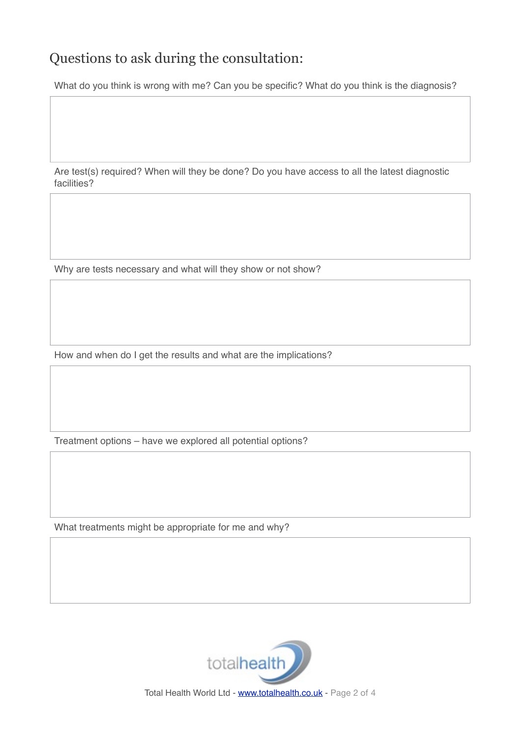## Questions to ask during the consultation:

What do you think is wrong with me? Can you be specific? What do you think is the diagnosis?

Are test(s) required? When will they be done? Do you have access to all the latest diagnostic facilities?

Why are tests necessary and what will they show or not show?

How and when do I get the results and what are the implications?

Treatment options – have we explored all potential options?

What treatments might be appropriate for me and why?



Total Health World Ltd - [www.totalhealth.co.uk](http://www.totalhealth.co.uk) - Page 2 of 4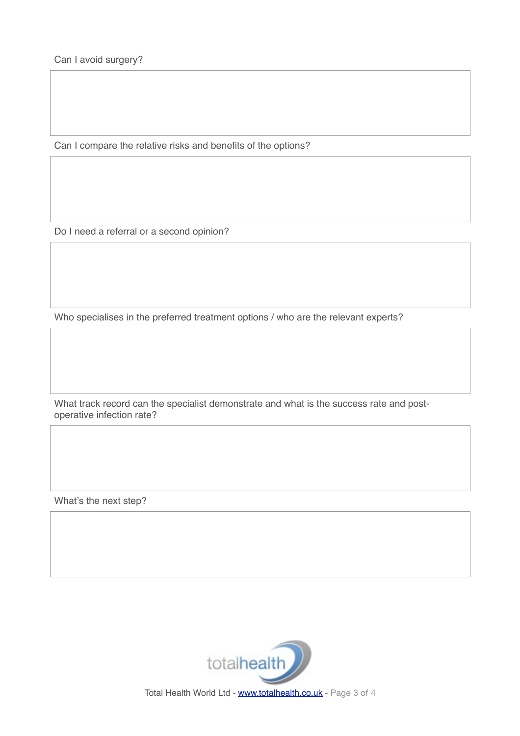Can I avoid surgery?

Can I compare the relative risks and benefits of the options?

Do I need a referral or a second opinion?

Who specialises in the preferred treatment options / who are the relevant experts?

What track record can the specialist demonstrate and what is the success rate and postoperative infection rate?

What's the next step?



Total Health World Ltd - [www.totalhealth.co.uk](http://www.totalhealth.co.uk) - Page 3 of 4